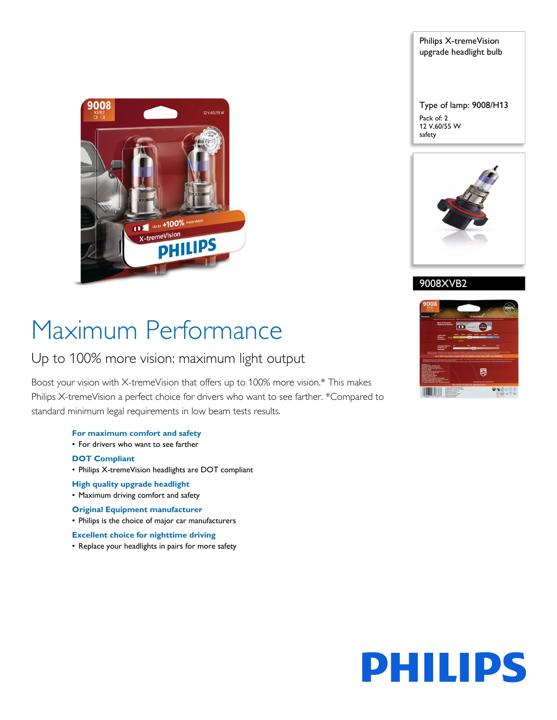

Philips X-tremeVision upgrade headlight bulb

Type of lamp: 9008/H13 Pack of: 2 12 V,60/55 W safety



9008XVB2

# Maximum Performance

# Up to 100% more vision: maximum light output

Boost your vision with X-tremeVision that offers up to 100% more vision.\* This makes Philips X-tremeVision a perfect choice for drivers who want to see farther. \*Compared to standard minimum legal requirements in low beam tests results.

# **For maximum comfort and safety**

• For drivers who want to see farther

# **DOT Compliant**

- Philips X-tremeVision headlights are DOT compliant
- **High quality upgrade headlight**
- Maximum driving comfort and safety

# **Original Equipment manufacturer**

• Philips is the choice of major car manufacturers

# **Excellent choice for nighttime driving**

• Replace your headlights in pairs for more safety



# **PHILIPS**